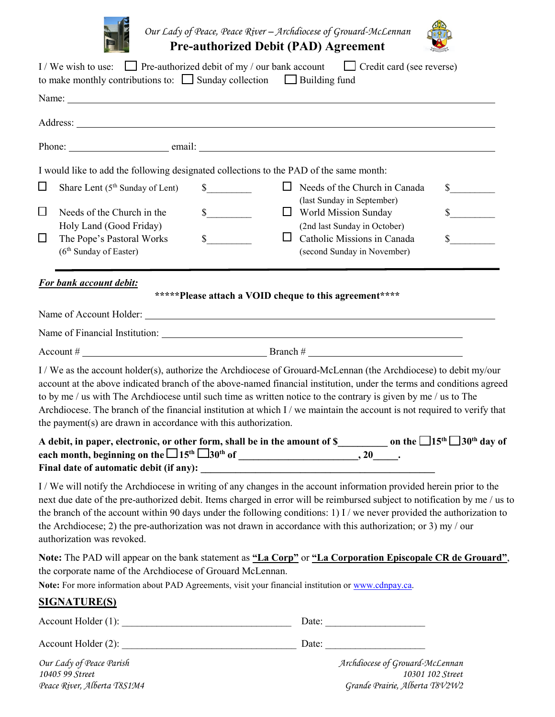

*Our Lady of Peace, Peace River – Archdiocese of Grouard-McLennan* **Pre-authorized Debit (PAD) Agreement** 



|                  | I/We wish to use: $\Box$ Pre-authorized debit of my / our bank account<br>to make monthly contributions to: $\Box$ Sunday collection $\Box$ Building fund                                                                                                                                                                                                                                                                                                                                                                                                   |                                             | Credit card (see reverse)                                                                         |                                       |
|------------------|-------------------------------------------------------------------------------------------------------------------------------------------------------------------------------------------------------------------------------------------------------------------------------------------------------------------------------------------------------------------------------------------------------------------------------------------------------------------------------------------------------------------------------------------------------------|---------------------------------------------|---------------------------------------------------------------------------------------------------|---------------------------------------|
|                  |                                                                                                                                                                                                                                                                                                                                                                                                                                                                                                                                                             |                                             |                                                                                                   |                                       |
|                  |                                                                                                                                                                                                                                                                                                                                                                                                                                                                                                                                                             |                                             |                                                                                                   |                                       |
|                  |                                                                                                                                                                                                                                                                                                                                                                                                                                                                                                                                                             |                                             |                                                                                                   |                                       |
|                  | I would like to add the following designated collections to the PAD of the same month:                                                                                                                                                                                                                                                                                                                                                                                                                                                                      |                                             |                                                                                                   |                                       |
| $\Box$<br>$\Box$ | Share Lent $(5th$ Sunday of Lent)<br>Needs of the Church in the                                                                                                                                                                                                                                                                                                                                                                                                                                                                                             | $\mathbb{S}$<br>$\frac{\text{S}}{\text{S}}$ | $\Box$ Needs of the Church in Canada<br>(last Sunday in September)<br>$\Box$ World Mission Sunday | $\frac{\text{S}}{\text{S}}$<br>$\sim$ |
| $\Box$           | Holy Land (Good Friday)<br>The Pope's Pastoral Works<br>(6 <sup>th</sup> Sunday of Easter)                                                                                                                                                                                                                                                                                                                                                                                                                                                                  | $\mathbb S$<br>ப                            | (2nd last Sunday in October)<br>Catholic Missions in Canada<br>(second Sunday in November)        | $\sim$                                |
|                  | For bank account debit:                                                                                                                                                                                                                                                                                                                                                                                                                                                                                                                                     |                                             | *****Please attach a VOID cheque to this agreement****                                            |                                       |
|                  |                                                                                                                                                                                                                                                                                                                                                                                                                                                                                                                                                             |                                             |                                                                                                   |                                       |
|                  |                                                                                                                                                                                                                                                                                                                                                                                                                                                                                                                                                             |                                             |                                                                                                   |                                       |
|                  |                                                                                                                                                                                                                                                                                                                                                                                                                                                                                                                                                             |                                             |                                                                                                   |                                       |
|                  | I / We as the account holder(s), authorize the Archdiocese of Grouard-McLennan (the Archdiocese) to debit my/our<br>account at the above indicated branch of the above-named financial institution, under the terms and conditions agreed<br>to by me / us with The Archdiocese until such time as written notice to the contrary is given by me / us to The<br>Archdiocese. The branch of the financial institution at which I / we maintain the account is not required to verify that<br>the payment(s) are drawn in accordance with this authorization. |                                             |                                                                                                   |                                       |
|                  | A debit, in paper, electronic, or other form, shall be in the amount of \$____________ on the $\Box 15^{th} \Box 30^{th}$ day of<br>Final date of automatic debit (if any):                                                                                                                                                                                                                                                                                                                                                                                 |                                             |                                                                                                   |                                       |
|                  | I/We will notify the Archdiocese in writing of any changes in the account information provided herein prior to the<br>next due date of the pre-authorized debit. Items charged in error will be reimbursed subject to notification by me / us to<br>the branch of the account within 90 days under the following conditions: 1) I / we never provided the authorization to<br>the Archdiocese; 2) the pre-authorization was not drawn in accordance with this authorization; or 3) my / our<br>authorization was revoked.                                   |                                             |                                                                                                   |                                       |
|                  | Note: The PAD will appear on the bank statement as "La Corp" or "La Corporation Episcopale CR de Grouard",<br>the corporate name of the Archdiocese of Grouard McLennan.<br>Note: For more information about PAD Agreements, visit your financial institution or www.cdnpay.ca.                                                                                                                                                                                                                                                                             |                                             |                                                                                                   |                                       |
|                  | <b>SIGNATURE(S)</b>                                                                                                                                                                                                                                                                                                                                                                                                                                                                                                                                         |                                             |                                                                                                   |                                       |
|                  | Accountل Holder (1):                                                                                                                                                                                                                                                                                                                                                                                                                                                                                                                                        |                                             |                                                                                                   |                                       |
|                  |                                                                                                                                                                                                                                                                                                                                                                                                                                                                                                                                                             |                                             |                                                                                                   |                                       |
|                  | Our Lady of Peace Parish                                                                                                                                                                                                                                                                                                                                                                                                                                                                                                                                    |                                             | Archdiocese of Grouard-McLennan                                                                   |                                       |

*10405 99 Street 10301 102 Street Peace River, Alberta T8S1M4 Grande Prairie, Alberta T8V2W2*